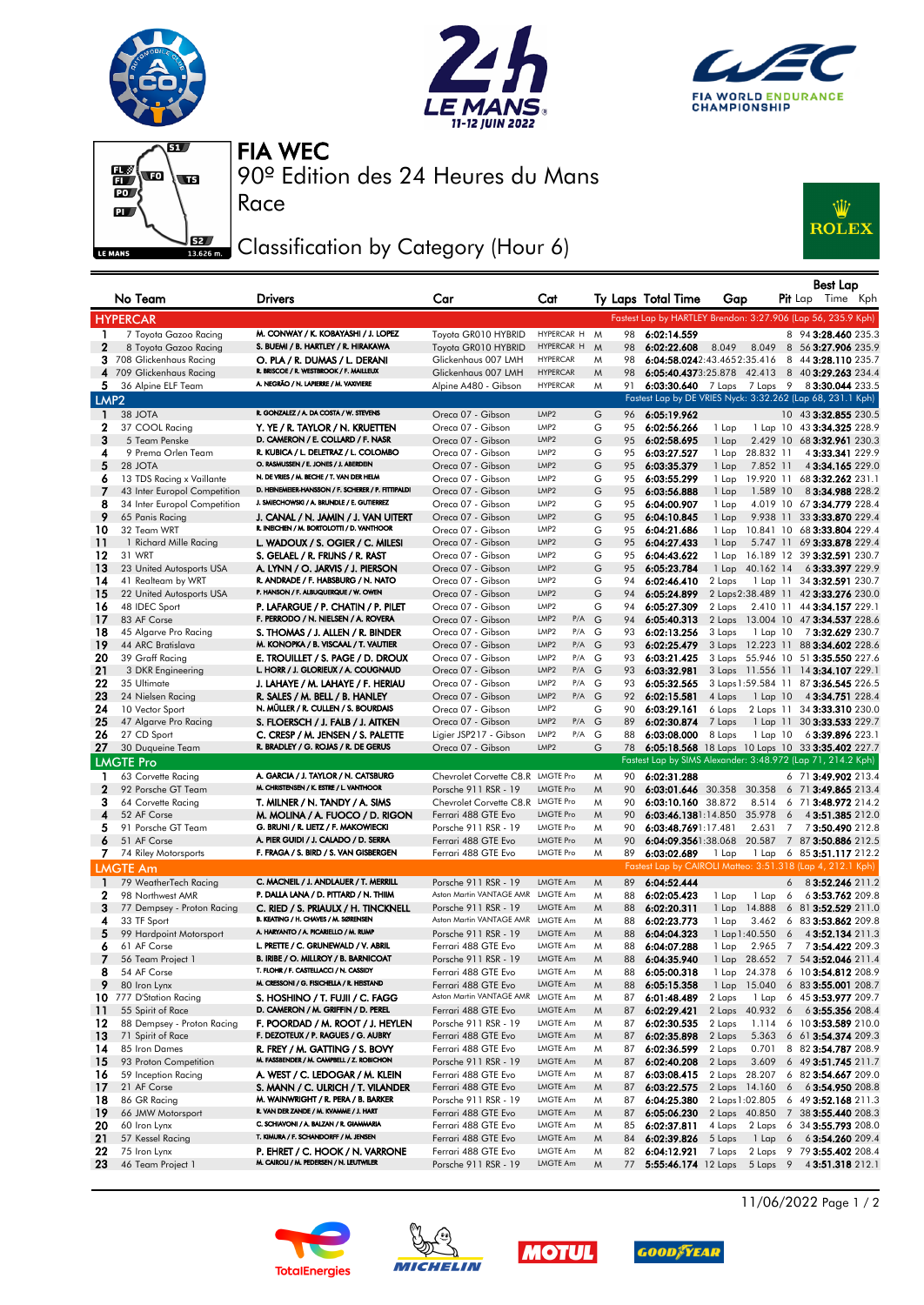







Race

90º Edition des 24 Heures du Mans FIA WEC

## Classification by Category (Hour 6)



|                  | No Team                          | <b>Drivers</b>                                                                | Car                                        | Cat                       |        |          | Ty Laps Total Time          | Gap              |                 |   | Best Lap<br><b>Pit</b> Lap Time Kph                          |
|------------------|----------------------------------|-------------------------------------------------------------------------------|--------------------------------------------|---------------------------|--------|----------|-----------------------------|------------------|-----------------|---|--------------------------------------------------------------|
|                  | <b>HYPERCAR</b>                  |                                                                               |                                            |                           |        |          |                             |                  |                 |   | Fastest Lap by HARTLEY Brendon: 3:27.906 (Lap 56, 235.9 Kph) |
| 1                | 7 Toyota Gazoo Racing            | M. CONWAY / K. KOBAYASHI / J. LOPEZ                                           | Toyota GR010 HYBRID                        | HYPERCAR H M              |        | 98       | 6:02:14.559                 |                  |                 |   | 8 94 3:28.460 235.3                                          |
| $\mathbf{2}$     | 8 Toyota Gazoo Racing            | S. BUEMI / B. HARTLEY / R. HIRAKAWA                                           | Toyota GR010 HYBRID                        | HYPERCAR H                | M      | 98       | 6:02:22.608                 | 8.049            | 8.049           |   | 8 56 3:27.906 235.9                                          |
|                  | 3 708 Glickenhaus Racing         | O. PLA / R. DUMAS / L. DERANI                                                 | Glickenhaus 007 LMH                        | <b>HYPERCAR</b>           | M      | 98       | 6:04:58.0242:43.4652:35.416 |                  |                 |   | 8 44 3:28.110 235.7                                          |
| 4                | 709 Glickenhaus Racing           | R. BRISCOE / R. WESTBROOK / F. MAILLEUX                                       | Glickenhaus 007 LMH                        | <b>HYPERCAR</b>           | M      | 98       |                             |                  |                 |   | 6:05:40.4373:25.878 42.413 8 403:29.263 234.4                |
| 5.               | 36 Alpine ELF Team               | A. NEGRÃO / N. LAPIERRE / M. VAXIVIERE                                        | Alpine A480 - Gibson                       | <b>HYPERCAR</b>           | Μ      | 91       | 6:03:30.640                 | 7 Laps           |                 |   | 7 Laps 9 8 3:30.044 233.5                                    |
| LMP <sub>2</sub> |                                  |                                                                               |                                            |                           |        |          |                             |                  |                 |   | Fastest Lap by DE VRIES Nyck: 3:32.262 (Lap 68, 231.1 Kph)   |
| П.               | 38 JOTA                          | R. GONZALEZ / A. DA COSTA / W. STEVENS                                        | Oreca 07 - Gibson                          | LMP2                      | G      | 96       | 6:05:19.962                 |                  |                 |   | 10 43 3:32.855 230.5                                         |
| 2                | 37 COOL Racing                   | Y. YE / R. TAYLOR / N. KRUETTEN                                               | Oreca 07 - Gibson                          | LMP <sub>2</sub>          | G      | 95       | 6:02:56.266                 | 1 Lap            |                 |   | 1 Lap 10 43 3:34.325 228.9                                   |
| 3                | 5 Team Penske                    | D. CAMERON / E. COLLARD / F. NASR                                             | Oreca 07 - Gibson                          | LMP2                      | G      | 95       | 6:02:58.695                 | 1 Lap            | 2.429 10        |   | 68 3:32.961 230.3                                            |
| 4                | 9 Prema Orlen Team               | R. KUBICA / L. DELETRAZ / L. COLOMBO                                          | Oreca 07 - Gibson                          | LMP2                      | G      | 95       | 6:03:27.527                 |                  | 1 Lap 28.832 11 |   | 43:33.341 229.9                                              |
| 5                | 28 JOTA                          | O. RASMUSSEN / E. JONES / J. ABERDEIN                                         | Oreca 07 - Gibson                          | LMP2                      | G      | 95       | 6:03:35.379                 | 1 Lap            | 7.852 11        |   | 4 3:34.165 229.0                                             |
| 6                | 13 TDS Racing x Vaillante        | N. DE VRIES / M. BECHE / T. VAN DER HELM                                      | Oreca 07 - Gibson                          | LMP2                      | G      | 95       | 6:03:55.299                 |                  | 1 Lap 19.920 11 |   | 68 3:32.262 231.1                                            |
| 7                | 43 Inter Europol Competition     | D. HEINEMEIER-HANSSON / F. SCHERER / P. FITTIPALDI                            | Oreca 07 - Gibson                          | LMP2                      | G      | 95       | 6:03:56.888                 | 1 Lap            | 1.589 10        |   | 83:34.988 228.2                                              |
| 8                | 34 Inter Europol Competition     | J. SMIECHOWSKI / A. BRUNDLE / E. GUTIERREZ                                    | Oreca 07 - Gibson                          | LMP <sub>2</sub>          | G      | 95       | 6:04:00.907                 | 1 Lap            |                 |   | 4.019 10 67 3:34.779 228.4                                   |
| 9                | 65 Panis Racing                  | J. CANAL / N. JAMIN / J. VAN UITERT                                           | Oreca 07 - Gibson                          | LMP2                      | G      | 95       | 6:04:10.845                 | 1 Lap            | 9.938 11        |   | 33 3:33.870 229.4                                            |
| 10               | 32 Team WRT                      | R. INEICHEN / M. BORTOLOTTI / D. VANTHOOR                                     | Oreca 07 - Gibson                          | LMP <sub>2</sub>          | G      | 95       | 6:04:21.686                 | 1 Lap            |                 |   | 10.841 10 68 3:33.804 229.4                                  |
| 11               | 1 Richard Mille Racing           | L. WADOUX / S. OGIER / C. MILESI                                              | Oreca 07 - Gibson                          | LMP2                      | G      | 95       | 6:04:27.433                 | 1 Lap            | 5.747 11        |   | 69 3:33.878 229.4                                            |
| 12               | 31 WRT                           | S. GELAEL / R. FRIJNS / R. RAST                                               | Oreca 07 - Gibson                          | LMP2                      | G      | 95       | 6:04:43.622                 |                  |                 |   | 1 Lap 16.189 12 39 3:32.591 230.7                            |
| 13               | 23 United Autosports USA         | A. LYNN / O. JARVIS / J. PIERSON<br>R. ANDRADE / F. HABSBURG / N. NATO        | Oreca 07 - Gibson                          | LMP2                      | G      | 95       | 6:05:23.784                 | 1 Lap            | 40.162 14       |   | 63:33.397 229.9                                              |
| 14               | 41 Realteam by WRT               | P. HANSON / F. ALBUQUERQUE / W. OWEN                                          | Oreca 07 - Gibson                          | LMP <sub>2</sub>          | G      | 94       | 6:02:46.410                 | 2 Laps           |                 |   | 1 Lap 11 34 3:32.591 230.7                                   |
| 15               | 22 United Autosports USA         |                                                                               | Oreca 07 - Gibson                          | LMP2<br>LMP <sub>2</sub>  | G      | 94       | 6:05:24.899                 |                  |                 |   | 2 Laps 2:38.489 11 42 3:33.276 230.0                         |
| 16<br>17         | 48 IDEC Sport<br>83 AF Corse     | P. LAFARGUE / P. CHATIN / P. PILET<br>F. PERRODO / N. NIELSEN / A. ROVERA     | Oreca 07 - Gibson<br>Oreca 07 - Gibson     | LMP2<br>P/A               | G<br>G | 94<br>94 | 6:05:27.309<br>6:05:40.313  | 2 Laps<br>2 Laps |                 |   | 2.410 11 44 3:34.157 229.1<br>13.004 10 47 3:34.537 228.6    |
| 18               | 45 Algarve Pro Racing            | S. THOMAS / J. ALLEN / R. BINDER                                              | Oreca 07 - Gibson                          | LMP2<br>$P/A$ G           |        | 93       | 6:02:13.256                 | 3 Laps           | 1 Lap 10        |   | 73:32.629 230.7                                              |
| 19               | 44 ARC Bratislava                | M. KONOPKA / B. VISCAAL / T. VAUTIER                                          | Oreca 07 - Gibson                          | LMP2<br>P/A G             |        | 93       | 6:02:25.479                 |                  |                 |   | 3 Laps 12.223 11 88 3:34.602 228.6                           |
| 20               | 39 Graff Racing                  | E. TROUILLET / S. PAGE / D. DROUX                                             | Oreca 07 - Gibson                          | LMP2<br>P/A G             |        | 93       | 6:03:21.425                 |                  |                 |   | 3 Laps 55.946 10 51 3:35.550 227.6                           |
| 21               | 3 DKR Engineering                | L. HORR / J. GLORIEUX / A. COUGNAUD                                           | Oreca 07 - Gibson                          | LMP2<br>P/A G             |        | 93       | 6:03:32.981                 |                  |                 |   | 3 Laps 11.556 11 14 3:34.107 229.1                           |
| 22               | 35 Ultimate                      | J. LAHAYE / M. LAHAYE / F. HERIAU                                             | Oreca 07 - Gibson                          | LMP2<br>$P/A$ G           |        | 93       | 6:05:32.565                 |                  |                 |   | 3 Laps 1:59.584 11 87 3:36.545 226.5                         |
| 23               | 24 Nielsen Racing                | R. SALES / M. BELL / B. HANLEY                                                | Oreca 07 - Gibson                          | LMP2<br>$P/A$ G           |        | 92       | 6:02:15.581                 | 4 Laps           | $1$ Lap $10$    |   | 4 3:34.751 228.4                                             |
| 24               | 10 Vector Sport                  | N. MÜLLER / R. CULLEN / S. BOURDAIS                                           | Oreca 07 - Gibson                          | LMP <sub>2</sub>          | G      | 90       | 6:03:29.161                 | 6 Laps           |                 |   | 2 Laps 11 34 3:33.310 230.0                                  |
| 25               | 47 Algarve Pro Racing            | S. FLOERSCH / J. FALB / J. AITKEN                                             | Oreca 07 - Gibson                          | LMP2<br>P/A G             |        | 89       | 6:02:30.874                 | 7 Laps           |                 |   | 1 Lap 11 30 3:33.533 229.7                                   |
| 26               | 27 CD Sport                      | C. CRESP / M. JENSEN / S. PALETTE                                             | Ligier JSP217 - Gibson                     | LMP <sub>2</sub><br>P/A G |        | 88       | 6:03:08.000                 | 8 Laps           | $1$ Lap $10$    |   | 6 3:39.896 223.1                                             |
| 27               | 30 Duqueine Team                 | R. BRADLEY / G. ROJAS / R. DE GERUS                                           | Oreca 07 - Gibson                          | LMP <sub>2</sub>          | G      | 78       |                             |                  |                 |   | 6:05:18.568 18 Laps 10 Laps 10 33 3:35.402 227.7             |
|                  | <b>LMGTE Pro</b>                 |                                                                               |                                            |                           |        |          |                             |                  |                 |   | Fastest Lap by SIMS Alexander: 3:48.972 (Lap 71, 214.2 Kph)  |
| ı                | 63 Corvette Racing               | A. GARCIA / J. TAYLOR / N. CATSBURG                                           | Chevrolet Corvette C8.R LMGTE Pro          |                           | M      | 90       | 6:02:31.288                 |                  |                 |   | 6 71 3:49.902 213.4                                          |
| $\mathbf 2$      | 92 Porsche GT Team               | M. CHRISTENSEN / K. ESTRE / L. VANTHOOR                                       | Porsche 911 RSR - 19                       | <b>LMGTE Pro</b>          | M      | 90       | 6:03:01.646 30.358          |                  | 30.358          |   | 6 71 3:49.865 213.4                                          |
| З                | 64 Corvette Racing               | T. MILNER / N. TANDY / A. SIMS                                                | Chevrolet Corvette C8.R LMGTE Pro          |                           | M      | 90       | 6:03:10.160 38.872          |                  | 8.514           |   | 6 71 3:48.972 214.2                                          |
| 4                | 52 AF Corse                      | M. MOLINA / A. FUOCO / D. RIGON                                               | Ferrari 488 GTE Evo                        | <b>LMGTE Pro</b>          | M      | 90       | 6:03:46.1381:14.850         |                  | 35.978          | 6 | 4 3:51.385 212.0                                             |
| 5                | 91 Porsche GT Team               | G. BRUNI / R. LIETZ / F. MAKOWIECKI                                           | Porsche 911 RSR - 19                       | <b>LMGTE Pro</b>          | M      | 90       | 6:03:48.7691:17.481         |                  | 2.631 7         |   | 73:50.490 212.8                                              |
| 6                | 51 AF Corse                      | A. PIER GUIDI / J. CALADO / D. SERRA                                          | Ferrari 488 GTE Evo                        | <b>LMGTE Pro</b>          | M      | 90       | 6:04:09.3561:38.068         |                  | 20.587          |   | 7 87 3:50.886 212.5                                          |
| 7                | 74 Riley Motorsports             | F. FRAGA / S. BIRD / S. VAN GISBERGEN                                         | Ferrari 488 GTE Evo                        | <b>LMGTE Pro</b>          | M      | 89       | 6:03:02.689                 | 1 Lap            |                 |   | 1 Lap 6 85 3:51.117 212.2                                    |
|                  | <b>LMGTE Am</b>                  |                                                                               |                                            |                           |        |          |                             |                  |                 |   | Fastest Lap by CAIROLI Matteo: 3:51.318 (Lap 4, 212.1 Kph)   |
| $\mathbf{1}$     | 79 WeatherTech Racing            | C. MACNEIL / J. ANDLAUER / T. MERRILL                                         | Porsche 911 RSR - 19                       | LMGTE Am                  | M      | 89       | 6:04:52.444                 |                  |                 | 6 | 83:52.246 211.2                                              |
| 2                | 98 Northwest AMR                 | P. DALLA LANA / D. PITTARD / N. THIIM                                         | Aston Martin VANTAGE AMR LMGTE Am          |                           | M      | 88       | 6:02:05.423                 | 1 Lap            | 1 Lap           | 6 | 63:53.762 209.8                                              |
| 3                | 77 Dempsey - Proton Racing       | C. RIED / S. PRIAULX / H. TINCKNELL                                           | Porsche 911 RSR - 19                       | LMGTE Am                  | M      | 88       | 6:02:20.311                 | 1 Lap            | 14.888          |   | 6 81 3:52.529 211.0                                          |
| 4                | 33 TF Sport                      | B. KEATING / H. CHAVES / M. SØRENSEN                                          | Aston Martin VANTAGE AMR LMGTE Am          |                           | M      | 88       | 6:02:23.773                 | 1 Lap            | 3.462           |   | 6 83 3:53.862 209.8                                          |
| 5                | 99 Hardpoint Motorsport          | A. HARYANTO / A. PICARIELLO / M. RUMP                                         | Porsche 911 RSR - 19                       | LMGTE Am                  | M      | 88       | 6:04:04.323                 |                  | 1 Lap 1:40.550  | 6 | 4 3:52.134 211.3                                             |
| 6                | 61 AF Corse                      | L. PRETTE / C. GRUNEWALD / V. ABRIL                                           | Ferrari 488 GTE Evo                        | <b>LMGTE Am</b>           | M      | 88       | 6:04:07.288                 | 1 Lap            |                 |   | 2.965 7 73:54.422 209.3                                      |
| 7                | 56 Team Project 1                | B. IRIBE / O. MILLROY / B. BARNICOAT                                          | Porsche 911 RSR - 19                       | LMGTE Am                  | M      |          | 88 6:04:35.940              |                  |                 |   | 1 Lap 28.652 7 54 3:52.046 211.4                             |
| 8                | 54 AF Corse                      | T. FLOHR / F. CASTELLACCI / N. CASSIDY                                        | Ferrari 488 GTE Evo                        | LMGTE Am                  | Μ      | 88       | 6:05:00.318                 |                  | 1 Lap 24.378    |   | 6 10 3:54.812 208.9                                          |
| 9                | 80 Iron Lynx                     | M. CRESSONI / G. FISICHELLA / R. HEISTAND                                     | Ferrari 488 GTE Evo                        | LMGTE Am                  | M      | 88       | 6:05:15.358                 | 1 Lap            | 15.040          |   | 6 83 3:55.001 208.7                                          |
| 10               | 777 D'Station Racing             | S. HOSHINO / T. FUJII / C. FAGG                                               | Aston Martin VANTAGE AMR                   | LMGTE Am                  | M      | 87       | 6:01:48.489                 | 2 Laps           | 1 Lap           |   | 6 45 3:53.977 209.7                                          |
| -11              | 55 Spirit of Race                | D. CAMERON / M. GRIFFIN / D. PEREL                                            | Ferrari 488 GTE Evo                        | LMGTE Am                  | M      | 87       | 6:02:29.421                 | 2 Laps           | 40.932          | 6 | 63:55.356 208.4                                              |
| 12               | 88 Dempsey - Proton Racing       | F. POORDAD / M. ROOT / J. HEYLEN                                              | Porsche 911 RSR - 19                       | LMGTE Am                  | Μ      | 87       | 6:02:30.535                 | 2 Laps           | 1.114           |   | 6 10 3:53.589 210.0                                          |
| 13               | 71 Spirit of Race                | F. DEZOTEUX / P. RAGUES / G. AUBRY                                            | Ferrari 488 GTE Evo                        | LMGTE Am                  | M      | 87       | 6:02:35.898                 | 2 Laps           | 5.363           |   | 6 61 3:54.374 209.3                                          |
| 14               | 85 Iron Dames                    | R. FREY / M. GATTING / S. BOVY                                                | Ferrari 488 GTE Evo                        | LMGTE Am                  | Μ      | 87       | 6:02:36.599                 | 2 Laps           | 0.701           |   | 8 82 3:54.787 208.9                                          |
| 15               | 93 Proton Competition            | M. FASSBENDER / M. CAMPBELL / Z. ROBICHON                                     | Porsche 911 RSR - 19                       | LMGTE Am                  | M      | 87       | 6:02:40.208                 | 2 Laps           | 3.609           |   | 6 49 3:51.745 211.7                                          |
| 16               | 59 Inception Racing              | A. WEST / C. LEDOGAR / M. KLEIN                                               | Ferrari 488 GTE Evo                        | LMGTE Am                  | M      | 87       | 6:03:08.415                 |                  | 2 Laps 28.207   |   | 6 82 3:54.667 209.0                                          |
| 17               | 21 AF Corse                      | S. MANN / C. ULRICH / T. VILANDER                                             | Ferrari 488 GTE Evo                        | LMGTE Am                  | M      | 87       | 6:03:22.575                 |                  | 2 Laps 14.160   | 6 | 63:54.950 208.8                                              |
| 18               | 86 GR Racing                     | M. WAINWRIGHT / R. PERA / B. BARKER<br>R. VAN DER ZANDE / M. KVAMME / J. HART | Porsche 911 RSR - 19                       | LMGTE Am                  | Μ      | 87       | 6:04:25.380                 |                  | 2 Laps 1:02.805 |   | 6 49 3:52.168 211.3                                          |
| 19               | 66 JMW Motorsport                | C. SCHIAVONI / A. BALZAN / R. GIAMMARIA                                       | Ferrari 488 GTE Evo                        | LMGTE Am                  | M      | 87       | 6:05:06.230                 |                  | 2 Laps 40.850   |   | 7 38 3:55.440 208.3                                          |
| 20<br>21         | 60 Iron Lynx                     | T. KIMURA / F. SCHANDORFF / M. JENSEN                                         | Ferrari 488 GTE Evo                        | LMGTE Am<br>LMGTE Am      | Μ      | 85       | 6:02:37.811                 | 4 Laps           | 2 Laps          |   | 6 34 3:55.793 208.0<br>63:54.260 209.4                       |
| 22               | 57 Kessel Racing<br>75 Iron Lynx | P. EHRET / C. HOOK / N. VARRONE                                               | Ferrari 488 GTE Evo<br>Ferrari 488 GTE Evo | LMGTE Am                  | M<br>Μ | 84<br>82 | 6:02:39.826<br>6:04:12.921  | 5 Laps<br>7 Laps | $1$ Lap 6       |   | 2 Laps 9 79 3:55.402 208.4                                   |
| 23               | 46 Team Project 1                | M. CAIROLI / M. PEDERSEN / N. LEUTWILER                                       | Porsche 911 RSR - 19                       | LMGTE Am                  | M      | 77       |                             |                  |                 |   | 5:55:46.174 12 Laps 5 Laps 9 4 3:51.318 212.1                |
|                  |                                  |                                                                               |                                            |                           |        |          |                             |                  |                 |   |                                                              |









11/06/2022 Page 1 / 2